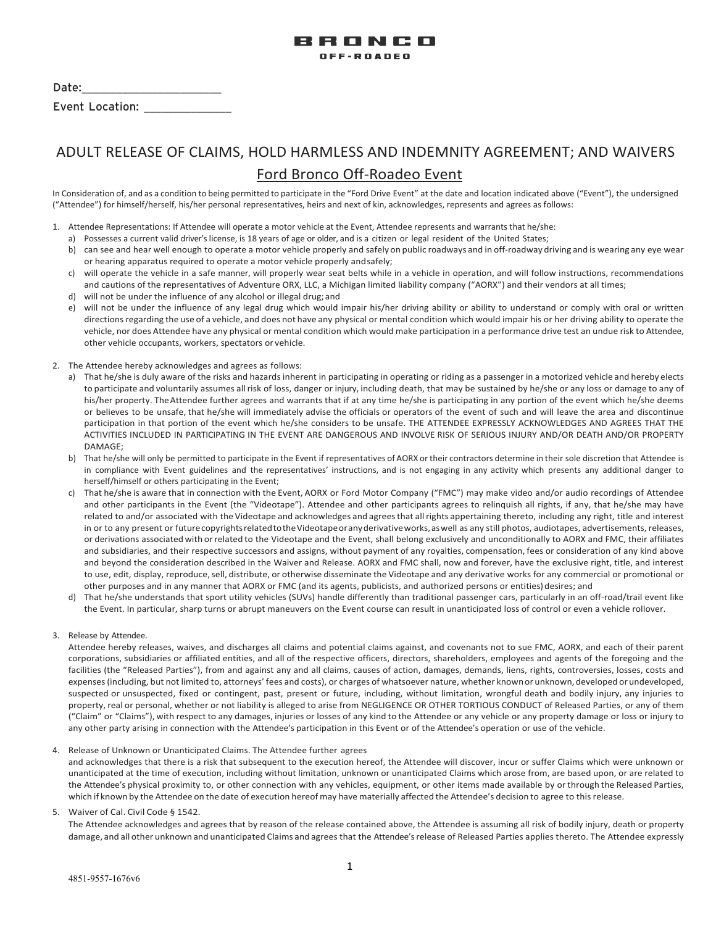

| Date: |                 |  |
|-------|-----------------|--|
|       | Event Location: |  |

# ADULT RELEASE OF CLAIMS, HOLD HARMLESS AND INDEMNITY AGREEMENT; AND WAIVERS Ford Bronco Off-Roadeo Event

In Consideration of, and as a condition to being permitted to participate in the "Ford Drive Event" at the date and location indicated above ("Event"), the undersigned ("Attendee") for himself/herself, his/her personal representatives, heirs and next of kin, acknowledges, represents and agrees as follows:

- 1. Attendee Representations: If Attendee will operate a motor vehicle at the Event, Attendee represents and warrants that he/she:
	- a) Possesses a current valid driver's license, is 18 years of age or older, and is a citizen or legal resident of the United States;
	- b) can see and hear well enough to operate a motor vehicle properly and safely on public roadways and in off-roadway driving and is wearing any eye wear or hearing apparatus required to operate a motor vehicle properly andsafely;
	- c) will operate the vehicle in a safe manner, will properly wear seat belts while in a vehicle in operation, and will follow instructions, recommendations and cautions of the representatives of Adventure ORX, LLC, a Michigan limited liability company ("AORX") and their vendors at all times;
	- d) will not be under the influence of any alcohol or illegal drug; and
	- e) will not be under the influence of any legal drug which would impair his/her driving ability or ability to understand or comply with oral or written directions regarding the use of a vehicle, and does not have any physical or mental condition which would impair his or her driving ability to operate the vehicle, nor does Attendee have any physical or mental condition which would make participation in a performance drive test an undue risk to Attendee, other vehicle occupants, workers, spectators or vehicle.
- 2. The Attendee hereby acknowledges and agrees as follows:
	- a) That he/she is duly aware of the risks and hazards inherent in participating in operating or riding as a passenger in a motorized vehicle and hereby elects to participate and voluntarily assumes allrisk of loss, danger or injury, including death, that may be sustained by he/she or any loss or damage to any of his/her property. TheAttendee further agrees and warrants that if at any time he/she is participating in any portion of the event which he/she deems or believes to be unsafe, that he/she will immediately advise the officials or operators of the event of such and will leave the area and discontinue participation in that portion of the event which he/she considers to be unsafe. THE ATTENDEE EXPRESSLY ACKNOWLEDGES AND AGREES THAT THE ACTIVITIES INCLUDED IN PARTICIPATING IN THE EVENT ARE DANGEROUS AND INVOLVE RISK OF SERIOUS INJURY AND/OR DEATH AND/OR PROPERTY DAMAGE;
	- b) That he/she will only be permitted to participate in the Event if representatives of AORX or their contractors determine in their sole discretion that Attendee is in compliance with Event guidelines and the representatives' instructions, and is not engaging in any activity which presents any additional danger to herself/himself or others participating in the Event;
	- c) That he/she is aware that in connection with the Event, AORX or Ford Motor Company ("FMC") may make video and/or audio recordings of Attendee and other participants in the Event (the "Videotape"). Attendee and other participants agrees to relinquish all rights, if any, that he/she may have related to and/or associated with the Videotape and acknowledges and agreesthat allrights appertaining thereto, including any right, title and interest in or to any present or future copyrights related to the Videotape or any derivative works, as well as any still photos, audiotapes, advertisements, releases, or derivations associated with orrelated to the Videotape and the Event, shall belong exclusively and unconditionally to AORX and FMC, their affiliates and subsidiaries, and their respective successors and assigns, without payment of any royalties, compensation, fees or consideration of any kind above and beyond the consideration described in the Waiver and Release. AORX and FMC shall, now and forever, have the exclusive right, title, and interest to use, edit, display, reproduce, sell, distribute, or otherwise disseminate the Videotape and any derivative works for any commercial or promotional or other purposes and in any manner that AORX or FMC (and its agents, publicists, and authorized persons or entities) desires; and
	- d) That he/she understands that sport utility vehicles (SUVs) handle differently than traditional passenger cars, particularly in an off-road/trail event like the Event. In particular, sharp turns or abrupt maneuvers on the Event course can result in unanticipated loss of control or even a vehicle rollover.

#### 3. Release by Attendee.

Attendee hereby releases, waives, and discharges all claims and potential claims against, and covenants not to sue FMC, AORX, and each of their parent corporations, subsidiaries or affiliated entities, and all of the respective officers, directors, shareholders, employees and agents of the foregoing and the facilities (the "Released Parties"), from and against any and all claims, causes of action, damages, demands, liens, rights, controversies, losses, costs and expenses (including, but not limited to, attorneys' fees and costs), or charges of whatsoever nature, whether knownor unknown, developed orundeveloped, suspected or unsuspected, fixed or contingent, past, present or future, including, without limitation, wrongful death and bodily injury, any injuries to property, real or personal, whether or not liability is alleged to arise from NEGLIGENCE OR OTHER TORTIOUS CONDUCT of Released Parties, or any of them ("Claim" or "Claims"), with respect to any damages, injuries or losses of any kind to the Attendee or any vehicle or any property damage or loss or injury to any other party arising in connection with the Attendee's participation in this Event or of the Attendee's operation or use of the vehicle.

### 4. Release of Unknown or Unanticipated Claims. The Attendee further agrees

and acknowledges that there is a risk that subsequent to the execution hereof, the Attendee will discover, incur or suffer Claims which were unknown or unanticipated at the time of execution, including without limitation, unknown or unanticipated Claims which arose from, are based upon, or are related to the Attendee's physical proximity to, or other connection with any vehicles, equipment, or other items made available by or through the Released Parties, which if known by the Attendee on the date of execution hereof may have materially affected the Attendee's decision to agree to this release.

5. Waiver of Cal. Civil Code § 1542.

The Attendee acknowledges and agrees that by reason of the release contained above, the Attendee is assuming all risk of bodily injury, death or property damage, and all other unknown and unanticipated Claims and agrees that the Attendee's release of Released Parties applies thereto. The Attendee expressly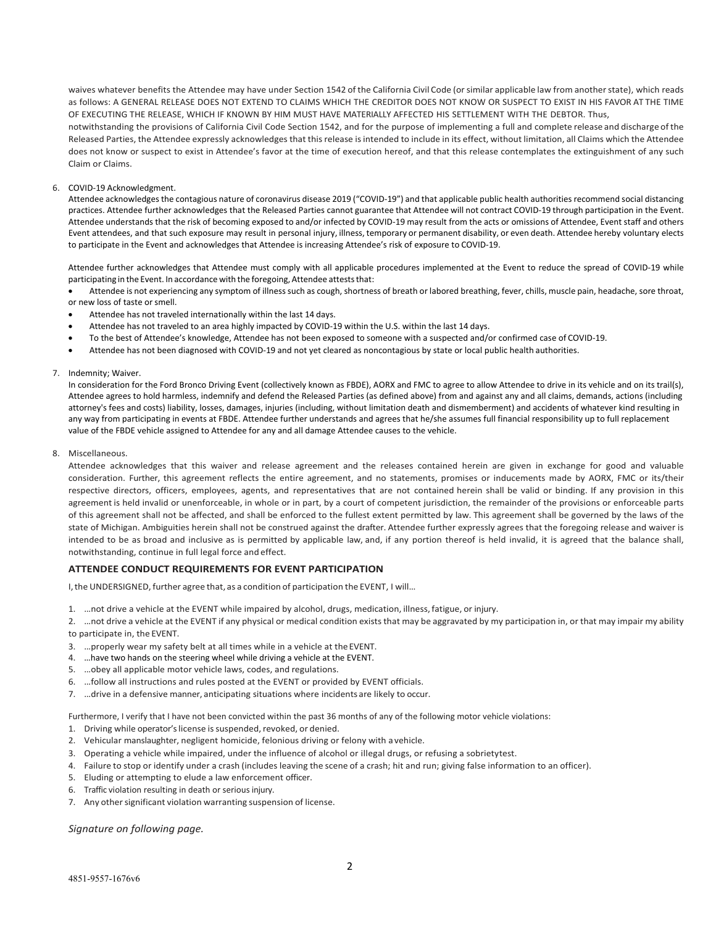waives whatever benefits the Attendee may have under Section 1542 of the California Civil Code (orsimilar applicable law from anotherstate), which reads as follows: A GENERAL RELEASE DOES NOT EXTEND TO CLAIMS WHICH THE CREDITOR DOES NOT KNOW OR SUSPECT TO EXIST IN HIS FAVOR AT THE TIME OF EXECUTING THE RELEASE, WHICH IF KNOWN BY HIM MUST HAVE MATERIALLY AFFECTED HIS SETTLEMENT WITH THE DEBTOR. Thus, notwithstanding the provisions of California Civil Code Section 1542, and for the purpose of implementing a full and complete release and discharge of the Released Parties, the Attendee expressly acknowledges that this release is intended to include in its effect, without limitation, all Claims which the Attendee

does not know or suspect to exist in Attendee's favor at the time of execution hereof, and that this release contemplates the extinguishment of any such Claim or Claims.

#### 6. COVID-19 Acknowledgment.

Attendee acknowledges the contagious nature of coronavirus disease 2019 ("COVID-19") and that applicable public health authorities recommend social distancing practices. Attendee further acknowledges that the Released Parties cannot guarantee that Attendee will not contract COVID-19 through participation in the Event. Attendee understands that the risk of becoming exposed to and/or infected by COVID-19 may result from the acts or omissions of Attendee, Event staff and others Event attendees, and that such exposure may result in personal injury, illness, temporary or permanent disability, or even death. Attendee hereby voluntary elects to participate in the Event and acknowledges that Attendee is increasing Attendee's risk of exposure to COVID-19.

Attendee further acknowledges that Attendee must comply with all applicable procedures implemented at the Event to reduce the spread of COVID-19 while participating in the Event. In accordance with the foregoing, Attendee attests that:

• Attendee is not experiencing any symptom of illness such as cough, shortness of breath or labored breathing, fever, chills, muscle pain, headache, sore throat, or new loss of taste orsmell.

- Attendee has not traveled internationally within the last 14 days.
- Attendee has not traveled to an area highly impacted by COVID-19 within the U.S. within the last 14 days.
- To the best of Attendee's knowledge, Attendee has not been exposed to someone with a suspected and/or confirmed case of COVID-19.
- Attendee has not been diagnosed with COVID-19 and not yet cleared as noncontagious by state or local public health authorities.

#### 7. Indemnity; Waiver.

In consideration for the Ford Bronco Driving Event (collectively known as FBDE), AORX and FMC to agree to allow Attendee to drive in its vehicle and on its trail(s), Attendee agrees to hold harmless, indemnify and defend the Released Parties (as defined above) from and against any and all claims, demands, actions (including attorney's fees and costs) liability, losses, damages, injuries (including, without limitation death and dismemberment) and accidents of whatever kind resulting in any way from participating in events at FBDE. Attendee further understands and agrees that he/she assumes full financial responsibility up to full replacement value of the FBDE vehicle assigned to Attendee for any and all damage Attendee causes to the vehicle.

#### 8. Miscellaneous.

Attendee acknowledges that this waiver and release agreement and the releases contained herein are given in exchange for good and valuable consideration. Further, this agreement reflects the entire agreement, and no statements, promises or inducements made by AORX, FMC or its/their respective directors, officers, employees, agents, and representatives that are not contained herein shall be valid or binding. If any provision in this agreement is held invalid or unenforceable, in whole or in part, by a court of competent jurisdiction, the remainder of the provisions or enforceable parts of this agreement shall not be affected, and shall be enforced to the fullest extent permitted by law. This agreement shall be governed by the laws of the state of Michigan. Ambiguities herein shall not be construed against the drafter. Attendee further expressly agrees that the foregoing release and waiver is intended to be as broad and inclusive as is permitted by applicable law, and, if any portion thereof is held invalid, it is agreed that the balance shall, notwithstanding, continue in full legal force and effect.

## **ATTENDEE CONDUCT REQUIREMENTS FOR EVENT PARTICIPATION**

I, the UNDERSIGNED, further agree that, as a condition of participation the EVENT, I will…

- 1. …not drive a vehicle at the EVENT while impaired by alcohol, drugs, medication, illness, fatigue, or injury.
- 2. …not drive a vehicle at the EVENT if any physical or medical condition exists that may be aggravated by my participation in, or that may impair my ability to participate in, the EVENT.
- 3. …properly wear my safety belt at all times while in a vehicle at theEVENT.
- 4. …have two hands on the steering wheel while driving a vehicle at the EVENT.
- 5. …obey all applicable motor vehicle laws, codes, and regulations.
- 6. …follow all instructions and rules posted at the EVENT or provided by EVENT officials.
- 7. …drive in a defensive manner, anticipating situations where incidents are likely to occur.

Furthermore, I verify that I have not been convicted within the past 36 months of any of the following motor vehicle violations:

- 1. Driving while operator's license is suspended, revoked, or denied.
- 2. Vehicular manslaughter, negligent homicide, felonious driving or felony with a vehicle.
- 3. Operating a vehicle while impaired, under the influence of alcohol or illegal drugs, or refusing a sobrietytest.
- 4. Failure to stop or identify under a crash (includes leaving the scene of a crash; hit and run; giving false information to an officer).
- 5. Eluding or attempting to elude a law enforcement officer.
- 6. Traffic violation resulting in death or serious injury.
- 7. Any other significant violation warranting suspension of license.

*Signature on following page.*